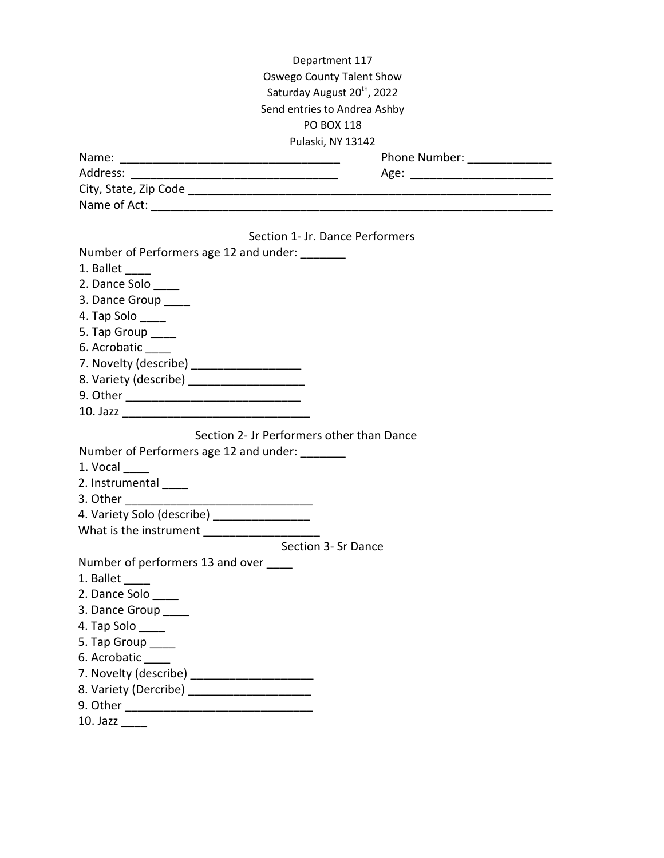| Department 117                                 |                               |
|------------------------------------------------|-------------------------------|
| Oswego County Talent Show                      |                               |
| Saturday August 20 <sup>th</sup> , 2022        |                               |
| Send entries to Andrea Ashby                   |                               |
| PO BOX 118                                     |                               |
| Pulaski, NY 13142                              |                               |
|                                                | Phone Number: _______________ |
|                                                |                               |
|                                                |                               |
|                                                |                               |
|                                                |                               |
| Section 1- Jr. Dance Performers                |                               |
| Number of Performers age 12 and under: _______ |                               |
| 1. Ballet                                      |                               |
| 2. Dance Solo _____                            |                               |
| 3. Dance Group _____                           |                               |
| 4. Tap Solo                                    |                               |
| 5. Tap Group ____                              |                               |
| 6. Acrobatic                                   |                               |
| 7. Novelty (describe) _____________________    |                               |
| 8. Variety (describe) _______________________  |                               |
|                                                |                               |
|                                                |                               |
| Section 2- Jr Performers other than Dance      |                               |
| Number of Performers age 12 and under: _______ |                               |
| $1.$ Vocal $\_\_$                              |                               |
| 2. Instrumental _____                          |                               |
|                                                |                               |
| 4. Variety Solo (describe) _______________     |                               |
| What is the instrument                         |                               |
| Section 3- Sr Dance                            |                               |
| Number of performers 13 and over _____         |                               |
| 1. Ballet                                      |                               |
| 2. Dance Solo _____                            |                               |
| 3. Dance Group _____                           |                               |
| 4. Tap Solo _____                              |                               |
| 5. Tap Group ____                              |                               |
| 6. Acrobatic                                   |                               |
| 7. Novelty (describe) _______________________  |                               |
| 8. Variety (Dercribe) _______________________  |                               |
|                                                |                               |
|                                                |                               |